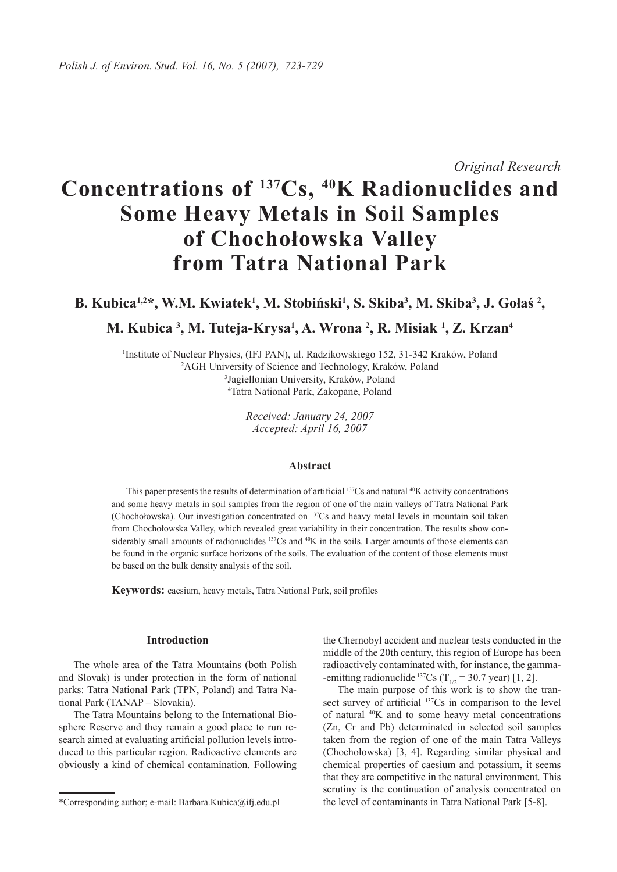*Original Research*

# **Concentrations of 137Cs, 40K Radionuclides and Some Heavy Metals in Soil Samples of Chochołowska Valley from Tatra National Park**

# **B.** Kubica<sup>1,2\*</sup>, W.M. Kwiatek<sup>1</sup>, M. Stobiński<sup>1</sup>, S. Skiba<sup>3</sup>, M. Skiba<sup>3</sup>, J. Gołaś<sup>2</sup>,

# **M. Kubica 3 , M. Tuteja-Krysa1 , A. Wrona <sup>2</sup> , R. Misiak <sup>1</sup> , Z. Krzan<sup>4</sup>**

 Institute of Nuclear Physics, (IFJ PAN), ul. Radzikowskiego 152, 31-342 Kraków, Poland AGH University of Science and Technology, Kraków, Poland Jagiellonian University, Kraków, Poland Tatra National Park, Zakopane, Poland

> *Received: January 24, 2007 Accepted: April 16, 2007*

## **Abstract**

This paper presents the results of determination of artificial <sup>137</sup>Cs and natural 40K activity concentrations and some heavy metals in soil samples from the region of one of the main valleys of Tatra National Park (Chochołowska). Our investigation concentrated on 137Cs and heavy metal levels in mountain soil taken from Chochołowska Valley, which revealed great variability in their concentration. The results show considerably small amounts of radionuclides  $137Cs$  and  $40K$  in the soils. Larger amounts of those elements can be found in the organic surface horizons of the soils. The evaluation of the content of those elements must be based on the bulk density analysis of the soil.

**Keywords:** caesium, heavy metals, Tatra National Park, soil profiles

# **Introduction**

The whole area of the Tatra Mountains (both Polish and Slovak) is under protection in the form of national parks: Tatra National Park (TPN, Poland) and Tatra National Park (TANAP – Slovakia).

The Tatra Mountains belong to the International Biosphere Reserve and they remain a good place to run research aimed at evaluating artificial pollution levels introduced to this particular region. Radioactive elements are obviously a kind of chemical contamination. Following the Chernobyl accident and nuclear tests conducted in the middle of the 20th century, this region of Europe has been radioactively contaminated with, for instance, the gamma--emitting radionuclide<sup>137</sup>Cs (T<sub>1/2</sub> = 30.7 year) [1, 2].

The main purpose of this work is to show the transect survey of artificial <sup>137</sup>Cs in comparison to the level of natural 40K and to some heavy metal concentrations (Zn, Cr and Pb) determinated in selected soil samples taken from the region of one of the main Tatra Valleys (Chochołowska) [3, 4]. Regarding similar physical and chemical properties of caesium and potassium, it seems that they are competitive in the natural environment. This scrutiny is the continuation of analysis concentrated on \*Corresponding author; e-mail: Barbara.Kubica@ifj.edu.pl the level of contaminants in Tatra National Park [5-8].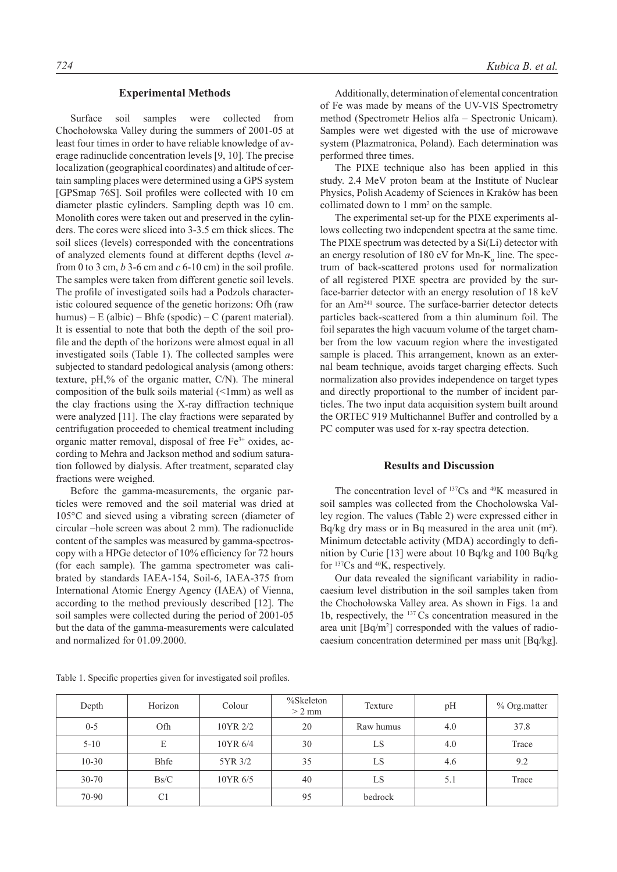#### **Experimental Methods**

Surface soil samples were collected from Chochołowska Valley during the summers of 2001-05 at least four times in order to have reliable knowledge of average radinuclide concentration levels [9, 10]. The precise localization (geographical coordinates) and altitude of certain sampling places were determined using a GPS system [GPSmap 76S]. Soil profiles were collected with 10 cm diameter plastic cylinders. Sampling depth was 10 cm. Monolith cores were taken out and preserved in the cylinders. The cores were sliced into 3-3.5 cm thick slices. The soil slices (levels) corresponded with the concentrations of analyzed elements found at different depths (level *a*from 0 to 3 cm, *b* 3-6 cm and *c* 6-10 cm) in the soil profile. The samples were taken from different genetic soil levels. The profile of investigated soils had a Podzols characteristic coloured sequence of the genetic horizons: Ofh (raw humus) – E (albic) – Bhfe (spodic) – C (parent material). It is essential to note that both the depth of the soil profile and the depth of the horizons were almost equal in all investigated soils (Table 1). The collected samples were subjected to standard pedological analysis (among others: texture, pH,% of the organic matter, C/N). The mineral composition of the bulk soils material  $(\leq 1$ mm) as well as the clay fractions using the X-ray diffraction technique were analyzed [11]. The clay fractions were separated by centrifugation proceeded to chemical treatment including organic matter removal, disposal of free Fe3+ oxides, according to Mehra and Jackson method and sodium saturation followed by dialysis. After treatment, separated clay fractions were weighed.

Before the gamma-measurements, the organic particles were removed and the soil material was dried at 105°C and sieved using a vibrating screen (diameter of circular –hole screen was about 2 mm). The radionuclide content of the samples was measured by gamma-spectroscopy with a HPGe detector of 10% efficiency for 72 hours (for each sample). The gamma spectrometer was calibrated by standards IAEA-154, Soil-6, IAEA-375 from International Atomic Energy Agency (IAEA) of Vienna, according to the method previously described [12]. The soil samples were collected during the period of 2001-05 but the data of the gamma-measurements were calculated and normalized for 01.09.2000.

Additionally, determination of elemental concentration of Fe was made by means of the UV-VIS Spectrometry method (Spectrometr Helios alfa – Spectronic Unicam). Samples were wet digested with the use of microwave system (Plazmatronica, Poland). Each determination was performed three times.

The PIXE technique also has been applied in this study. 2.4 MeV proton beam at the Institute of Nuclear Physics, Polish Academy of Sciences in Kraków has been collimated down to 1 mm<sup>2</sup> on the sample.

The experimental set-up for the PIXE experiments allows collecting two independent spectra at the same time. The PIXE spectrum was detected by a Si(Li) detector with an energy resolution of 180 eV for Mn- $K_a$  line. The spectrum of back-scattered protons used for normalization of all registered PIXE spectra are provided by the surface-barrier detector with an energy resolution of 18 keV for an Am<sup>241</sup> source. The surface-barrier detector detects particles back-scattered from a thin aluminum foil. The foil separates the high vacuum volume of the target chamber from the low vacuum region where the investigated sample is placed. This arrangement, known as an external beam technique, avoids target charging effects. Such normalization also provides independence on target types and directly proportional to the number of incident particles. The two input data acquisition system built around the ORTEC 919 Multichannel Buffer and controlled by a PC computer was used for x-ray spectra detection.

## **Results and Discussion**

The concentration level of <sup>137</sup>Cs and <sup>40</sup>K measured in soil samples was collected from the Chocholowska Valley region. The values (Table 2) were expressed either in Bq/kg dry mass or in Bq measured in the area unit  $(m<sup>2</sup>)$ . Minimum detectable activity (MDA) accordingly to definition by Curie [13] were about 10 Bq/kg and 100 Bq/kg for <sup>137</sup>Cs and 40K, respectively.

Our data revealed the significant variability in radiocaesium level distribution in the soil samples taken from the Chochołowska Valley area. As shown in Figs. 1a and 1b, respectively, the 137 Cs concentration measured in the area unit [Bq/m2 ] corresponded with the values of radiocaesium concentration determined per mass unit [Bq/kg].

| Depth     | Horizon        | Colour   | $%$ Skeleton<br>$> 2$ mm | Texture   | pH  | % Org.matter |
|-----------|----------------|----------|--------------------------|-----------|-----|--------------|
| $0 - 5$   | Ofh            | 10YR 2/2 | 20                       | Raw humus | 4.0 | 37.8         |
| $5 - 10$  | E              | 10YR 6/4 | 30                       | LS        | 4.0 | Trace        |
| $10 - 30$ | <b>Bhfe</b>    | 5YR 3/2  | 35                       | LS        | 4.6 | 9.2          |
| $30 - 70$ | Bs/C           | 10YR 6/5 | 40                       | LS        | 5.1 | Trace        |
| 70-90     | C <sub>1</sub> |          | 95                       | bedrock   |     |              |

Table 1. Specific properties given for investigated soil profiles.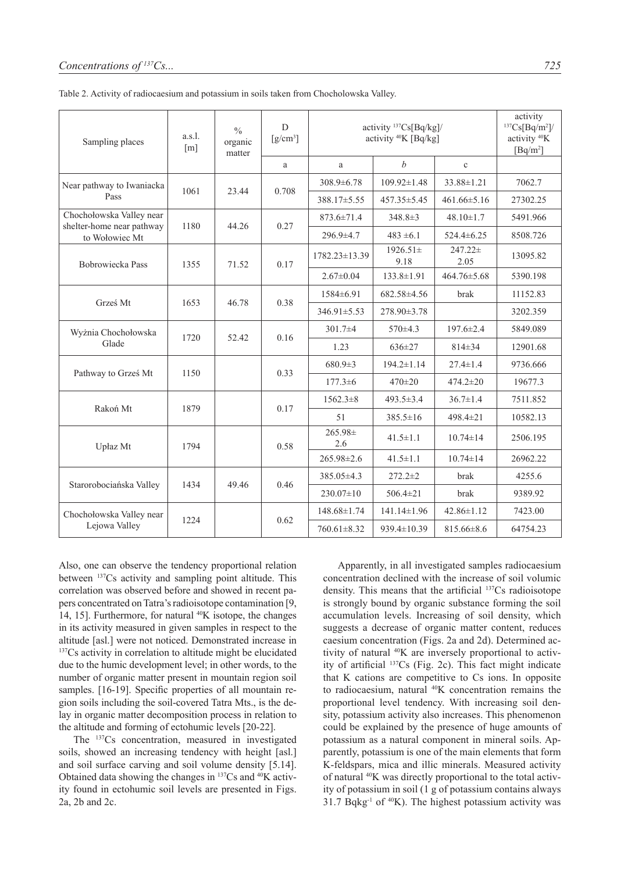| ka Valley.                                                             |                                                                                          |  |
|------------------------------------------------------------------------|------------------------------------------------------------------------------------------|--|
| activity <sup>137</sup> Cs[Bq/kg]/<br>activity <sup>40</sup> K [Bq/kg] | activity<br>$137Cs[Bq/m2]$ /<br>activity <sup>40</sup> K<br>$\left[\text{Bq/m}^2\right]$ |  |
|                                                                        | c                                                                                        |  |
|                                                                        |                                                                                          |  |

Table 2. Activity of radiocaesium and potassium in soils taken from Chocholowska V

 $\frac{0}{0}$ 

D

| Sampling places                                       | $a.s.1$ .<br>$\lceil m \rceil$ | organic<br>matter | $[g/cm^3]$ | activity <sup>40</sup> K [Bq/kg] |                       | activity <sup>40</sup> K<br>$[Bq/m^2]$ |          |
|-------------------------------------------------------|--------------------------------|-------------------|------------|----------------------------------|-----------------------|----------------------------------------|----------|
|                                                       |                                |                   | a          | a                                | b                     | $\mathbf c$                            |          |
| Near pathway to Iwaniacka                             | 1061                           | 23.44             | 0.708      | $308.9 \pm 6.78$                 | $109.92 \pm 1.48$     | $33.88 \pm 1.21$                       | 7062.7   |
| Pass                                                  |                                |                   |            | 388.17±5.55                      | $457.35 \pm 5.45$     | $461.66 \pm 5.16$                      | 27302.25 |
| Chochołowska Valley near<br>shelter-home near pathway | 1180                           | 44.26             | 0.27       | 873.6±71.4                       | $348.8 \pm 3$         | $48.10 \pm 1.7$                        | 5491.966 |
| to Wołowiec Mt                                        |                                |                   |            | 296.9±4.7                        | $483 \pm 6.1$         | $524.4 \pm 6.25$                       | 8508.726 |
| Bobrowiecka Pass                                      | 1355                           | 71.52             | 0.17       | $1782.23 \pm 13.39$              | $1926.51 \pm$<br>9.18 | $247.22 \pm$<br>2.05                   | 13095.82 |
|                                                       |                                |                   |            | $2.67 \pm 0.04$                  | $133.8 \pm 1.91$      | $464.76 \pm 5.68$                      | 5390.198 |
| Grześ Mt                                              | 1653                           | 46.78             | 0.38       | 1584±6.91                        | 682.58±4.56           | brak                                   | 11152.83 |
|                                                       |                                |                   |            | $346.91 \pm 5.53$                | 278.90±3.78           |                                        | 3202.359 |
| Wyżnia Chochołowska                                   | 1720                           | 52.42             | 0.16       | $301.7 + 4$                      | 570±4.3               | $197.6 \pm 2.4$                        | 5849.089 |
| Glade                                                 |                                |                   |            | 1.23                             | $636 \pm 27$          | $814 \pm 34$                           | 12901.68 |
|                                                       | 1150                           |                   | 0.33       | $680.9 \pm 3$                    | $194.2 \pm 1.14$      | $27.4 \pm 1.4$                         | 9736.666 |
| Pathway to Grześ Mt                                   |                                |                   |            | $177.3 \pm 6$                    | $470 \pm 20$          | $474.2 \pm 20$                         | 19677.3  |
| Rakoń Mt                                              | 1879                           |                   | 0.17       | $1562.3 \pm 8$                   | $493.5 \pm 3.4$       | $36.7 \pm 1.4$                         | 7511.852 |
|                                                       |                                |                   |            | 51                               | $385.5 \pm 16$        | 498.4±21                               | 10582.13 |
| Upłaz Mt                                              | 1794                           |                   | 0.58       | 265.98±<br>2.6                   | $41.5 \pm 1.1$        | $10.74 \pm 14$                         | 2506.195 |
|                                                       |                                |                   |            | 265.98±2.6                       | $41.5 \pm 1.1$        | $10.74 \pm 14$                         | 26962.22 |
| Starorobociańska Valley                               | 1434                           | 49.46             | 0.46       | 385.05±4.3                       | $272.2 \pm 2$         | brak                                   | 4255.6   |
|                                                       |                                |                   |            | 230.07±10                        | $506.4 \pm 21$        | brak                                   | 9389.92  |
| Chochołowska Valley near                              | 1224                           |                   | 0.62       | $148.68 \pm 1.74$                | $141.14 \pm 1.96$     | $42.86 \pm 1.12$                       | 7423.00  |
| Lejowa Valley                                         |                                |                   |            | $760.61 \pm 8.32$                | 939.4±10.39           | $815.66 \pm 8.6$                       | 64754.23 |

Also, one can observe the tendency proportional relation between <sup>137</sup>Cs activity and sampling point altitude. This correlation was observed before and showed in recent papers concentrated on Tatra's radioisotope contamination [9, 14, 15]. Furthermore, for natural  $40K$  isotope, the changes in its activity measured in given samples in respect to the altitude [asl.] were not noticed. Demonstrated increase in 137Cs activity in correlation to altitude might be elucidated due to the humic development level; in other words, to the number of organic matter present in mountain region soil samples. [16-19]. Specific properties of all mountain region soils including the soil-covered Tatra Mts., is the delay in organic matter decomposition process in relation to the altitude and forming of ectohumic levels [20-22].

The 137Cs concentration, measured in investigated soils, showed an increasing tendency with height [asl.] and soil surface carving and soil volume density [5.14]. Obtained data showing the changes in 137Cs and 40K activity found in ectohumic soil levels are presented in Figs. 2a, 2b and 2c.

Apparently, in all investigated samples radiocaesium concentration declined with the increase of soil volumic density. This means that the artificial <sup>137</sup>Cs radioisotope is strongly bound by organic substance forming the soil accumulation levels. Increasing of soil density, which suggests a decrease of organic matter content, reduces caesium concentration (Figs. 2a and 2d). Determined activity of natural 40K are inversely proportional to activity of artificial 137Cs (Fig. 2c). This fact might indicate that K cations are competitive to Cs ions. In opposite to radiocaesium, natural 40K concentration remains the proportional level tendency. With increasing soil density, potassium activity also increases. This phenomenon could be explained by the presence of huge amounts of potassium as a natural component in mineral soils. Apparently, potassium is one of the main elements that form K-feldspars, mica and illic minerals. Measured activity of natural 40K was directly proportional to the total activity of potassium in soil (1 g of potassium contains always 31.7 Bqkg $^{-1}$  of  $^{40}$ K). The highest potassium activity was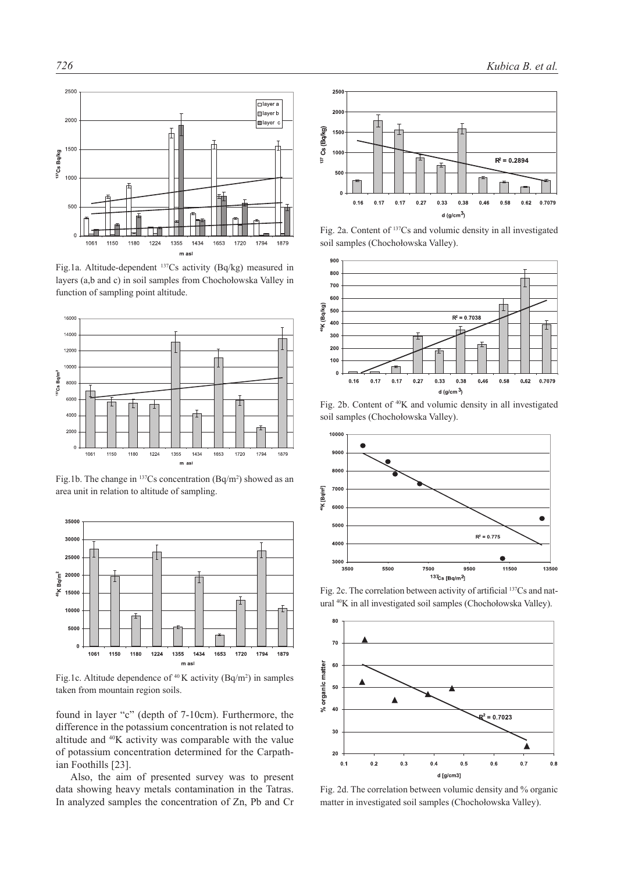

Fig.1a. Altitude-dependent 137Cs activity (Bq/kg) measured in layers (a,b and c) in soil samples from Chochołowska Valley in function of sampling point altitude.



Fig.1b. The change in  $\frac{137}{\text{Cs}}$  concentration (Bq/m<sup>2</sup>) showed as an area unit in relation to altitude of sampling.



Fig.1c. Altitude dependence of  $40$  K activity (Bq/m<sup>2</sup>) in samples taken from mountain region soils.

found in layer "c" (depth of 7-10cm). Furthermore, the difference in the potassium concentration is not related to altitude and 40K activity was comparable with the value of potassium concentration determined for the Carpathian Foothills [23].

Also, the aim of presented survey was to present data showing heavy metals contamination in the Tatras. In analyzed samples the concentration of Zn, Pb and Cr



Fig. 2a. Content of 137Cs and volumic density in all investigated soil samples (Chochołowska Valley).



Fig. 2b. Content of 40K and volumic density in all investigated soil samples (Chochołowska Valley).



Fig. 2c. The correlation between activity of artificial <sup>137</sup>Cs and natural 40K in all investigated soil samples (Chochołowska Valley).



Fig. 2d. The correlation between volumic density and % organic matter in investigated soil samples (Chochołowska Valley).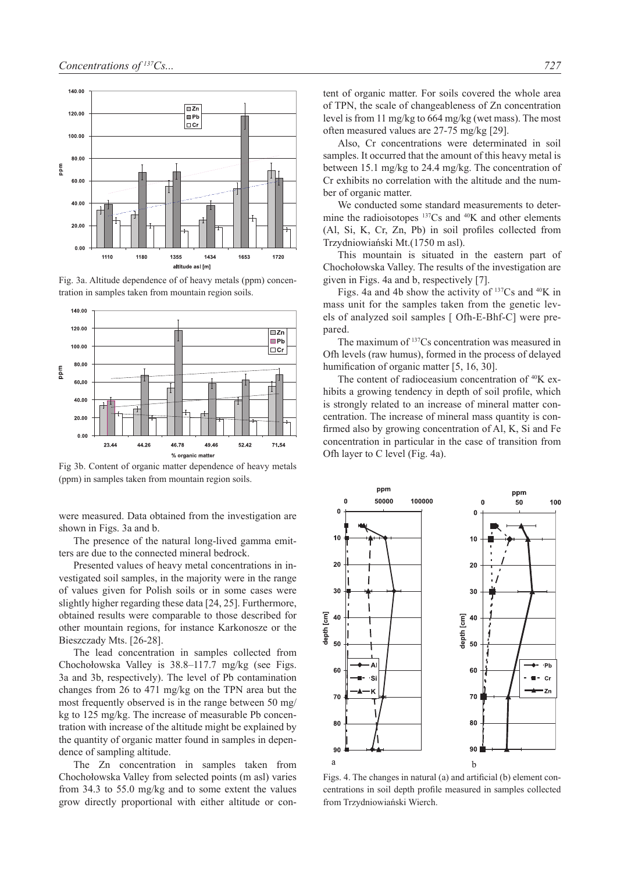





Fig 3b. Content of organic matter dependence of heavy metals (ppm) in samples taken from mountain region soils.

were measured. Data obtained from the investigation are shown in Figs. 3a and b.

The presence of the natural long-lived gamma emitters are due to the connected mineral bedrock.

Presented values of heavy metal concentrations in investigated soil samples, in the majority were in the range of values given for Polish soils or in some cases were slightly higher regarding these data [24, 25]. Furthermore, obtained results were comparable to those described for other mountain regions, for instance Karkonosze or the Bieszczady Mts. [26-28].

The lead concentration in samples collected from Chochołowska Valley is 38.8–117.7 mg/kg (see Figs. 3a and 3b, respectively). The level of Pb contamination changes from 26 to 471 mg/kg on the TPN area but the most frequently observed is in the range between 50 mg/ kg to 125 mg/kg. The increase of measurable Pb concentration with increase of the altitude might be explained by the quantity of organic matter found in samples in dependence of sampling altitude.

The Zn concentration in samples taken from Chochołowska Valley from selected points (m asl) varies from 34.3 to 55.0 mg/kg and to some extent the values grow directly proportional with either altitude or content of organic matter. For soils covered the whole area of TPN, the scale of changeableness of Zn concentration level is from 11 mg/kg to 664 mg/kg (wet mass). The most often measured values are 27-75 mg/kg [29].

Also, Cr concentrations were determinated in soil samples. It occurred that the amount of this heavy metal is between 15.1 mg/kg to 24.4 mg/kg. The concentration of Cr exhibits no correlation with the altitude and the number of organic matter.

We conducted some standard measurements to determine the radioisotopes <sup>137</sup>Cs and <sup>40</sup>K and other elements (Al, Si, K, Cr, Zn, Pb) in soil profiles collected from Trzydniowiański Mt.(1750 m asl).

This mountain is situated in the eastern part of Chochołowska Valley. The results of the investigation are given in Figs. 4a and b, respectively [7].

Figs. 4a and 4b show the activity of <sup>137</sup>Cs and 40K in mass unit for the samples taken from the genetic levels of analyzed soil samples [ Ofh-E-Bhf-C] were prepared.

The maximum of <sup>137</sup>Cs concentration was measured in Ofh levels (raw humus), formed in the process of delayed humification of organic matter [5, 16, 30].

The content of radioceasium concentration of <sup>40</sup>K exhibits a growing tendency in depth of soil profile, which is strongly related to an increase of mineral matter concentration. The increase of mineral mass quantity is confirmed also by growing concentration of Al, K, Si and Fe concentration in particular in the case of transition from Ofh layer to C level (Fig. 4a).



Figs. 4. The changes in natural (a) and artificial (b) element concentrations in soil depth profile measured in samples collected from Trzydniowiański Wierch.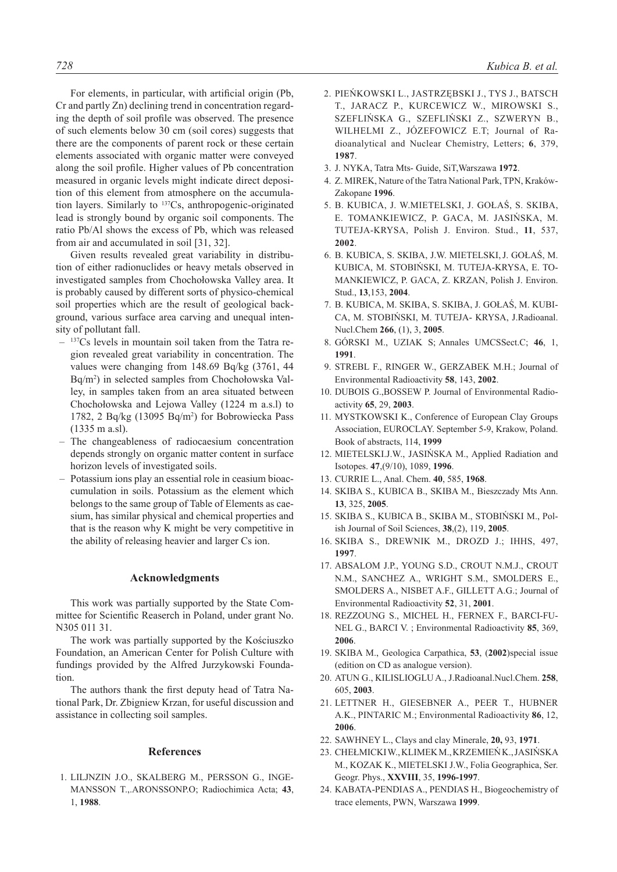For elements, in particular, with artificial origin (Pb, Cr and partly Zn) declining trend in concentration regarding the depth of soil profile was observed. The presence of such elements below 30 cm (soil cores) suggests that there are the components of parent rock or these certain elements associated with organic matter were conveyed along the soil profile. Higher values of Pb concentration measured in organic levels might indicate direct deposition of this element from atmosphere on the accumulation layers. Similarly to 137Cs, anthropogenic-originated lead is strongly bound by organic soil components. The ratio Pb/Al shows the excess of Pb, which was released from air and accumulated in soil [31, 32].

Given results revealed great variability in distribution of either radionuclides or heavy metals observed in investigated samples from Chochołowska Valley area. It is probably caused by different sorts of physico-chemical soil properties which are the result of geological background, various surface area carving and unequal intensity of pollutant fall.

- $-$  <sup>137</sup>Cs levels in mountain soil taken from the Tatra region revealed great variability in concentration. The values were changing from 148.69 Bq/kg (3761, 44 Bq/m2 ) in selected samples from Chochołowska Valley, in samples taken from an area situated between Chochołowska and Lejowa Valley (1224 m a.s.l) to 1782, 2 Bq/kg (13095 Bq/m2 ) for Bobrowiecka Pass (1335 m a.sl).
- The changeableness of radiocaesium concentration depends strongly on organic matter content in surface horizon levels of investigated soils.
- Potassium ions play an essential role in ceasium bioaccumulation in soils. Potassium as the element which belongs to the same group of Table of Elements as caesium, has similar physical and chemical properties and that is the reason why K might be very competitive in the ability of releasing heavier and larger Cs ion.

### **Acknowledgments**

This work was partially supported by the State Committee for Scientific Reaserch in Poland, under grant No. N305 011 31.

The work was partially supported by the Kościuszko Foundation, an American Center for Polish Culture with fundings provided by the Alfred Jurzykowski Foundation.

The authors thank the first deputy head of Tatra National Park, Dr. Zbigniew Krzan, for useful discussion and assistance in collecting soil samples.

#### **References**

1. LILJNZIN J.O., SKALBERG M., PERSSON G., INGE-MANSSON T.,.ARONSSONP.O; Radiochimica Acta; **43**, 1, **1988**.

- 2. PIEŃKOWSKI L., JASTRZĘBSKI J., TYS J., BATSCH T., JARACZ P., KURCEWICZ W., MIROWSKI S., SZEFLIŃSKA G., SZEFLIŃSKI Z., SZWERYN B., WILHELMI Z., JÓZEFOWICZ E.T; Journal of Radioanalytical and Nuclear Chemistry, Letters; **6**, 379, **1987**.
- 3. J. NYKA, Tatra Mts- Guide, SiT,Warszawa **1972**.
- 4. Z. MIREK, Nature of the Tatra National Park, TPN, Kraków-Zakopane **1996**.
- 5. B. KUBICA, J. W.MIETELSKI, J. GOŁAŚ, S. SKIBA, E. TOMANKIEWICZ, P. GACA, M. JASIŃSKA, M. TUTEJA-KRYSA, Polish J. Environ. Stud., **11**, 537, **2002**.
- 6. B. KUBICA, S. SKIBA, J.W. MIETELSKI,J. GOŁAŚ, M. KUBICA, M. STOBIŃSKI, M. TUTEJA-KRYSA, E. TO-MANKIEWICZ, P. GACA, Z. KRZAN, Polish J. Environ. Stud., **13**,153, **2004**.
- 7. B. KUBICA, M. SKIBA, S. SKIBA, J. GOŁAŚ, M. KUBI-CA, M. STOBIŃSKI, M. TUTEJA- KRYSA, J.Radioanal. Nucl.Chem **266**, (1), 3, **2005**.
- 8. GÓRSKI M., UZIAK S; Annales UMCSSect.C; **46**, 1, **1991**.
- 9. STREBL F., RINGER W., GERZABEK M.H.; Journal of Environmental Radioactivity **58**, 143, **2002**.
- 10. DUBOIS G.,BOSSEW P. Journal of Environmental Radioactivity **65**, 29, **2003**.
- 11. MYSTKOWSKI K., Conference of European Clay Groups Association, EUROCLAY. September 5-9, Krakow, Poland. Book of abstracts, 114, **1999**
- 12. MIETELSKI.J.W., JASIŃSKA M., Applied Radiation and Isotopes. **47**,(9/10), 1089, **1996**.
- 13. CURRIE L., Anal. Chem. **40**, 585, **1968**.
- 14. SKIBA S., KUBICA B., SKIBA M., Bieszczady Mts Ann. **13**, 325, **2005**.
- 15. SKIBA S., KUBICA B., SKIBA M., STOBIŃSKI M., Polish Journal of Soil Sciences, **38**,(2), 119, **2005**.
- 16. SKIBA S., DREWNIK M., DROZD J.; IHHS, 497, **1997**.
- 17. ABSALOM J.P., YOUNG S.D., CROUT N.M.J., CROUT N.M., SANCHEZ A., WRIGHT S.M., SMOLDERS E., SMOLDERS A., NISBET A.F., GILLETT A.G.; Journal of Environmental Radioactivity **52**, 31, **2001**.
- 18. REZZOUNG S., MICHEL H., FERNEX F., BARCI-FU-NEL G., BARCI V. ; Environmental Radioactivity **85**, 369, **2006**.
- 19. SKIBA M., Geologica Carpathica, **53**, (**2002**)special issue (edition on CD as analogue version).
- 20. ATUN G., KILISLIOGLU A., J.Radioanal.Nucl.Chem. **258**, 605, **2003**.
- 21. LETTNER H., GIESEBNER A., PEER T., HUBNER A.K., PINTARIC M.; Environmental Radioactivity **86**, 12, **2006**.
- 22. SAWHNEY L., Clays and clay Minerale, **20,** 93, **1971**.
- 23. Chełmicki W., Klimek M., Krzemień K., Jasińska M., Kozak K., Mietelski J.W., Folia Geographica, Ser. Geogr. Phys., **XXVIII**, 35, **1996-1997**.
- 24. KABATA-PENDIAS A., PENDIAS H., Biogeochemistry of trace elements, PWN, Warszawa **1999**.